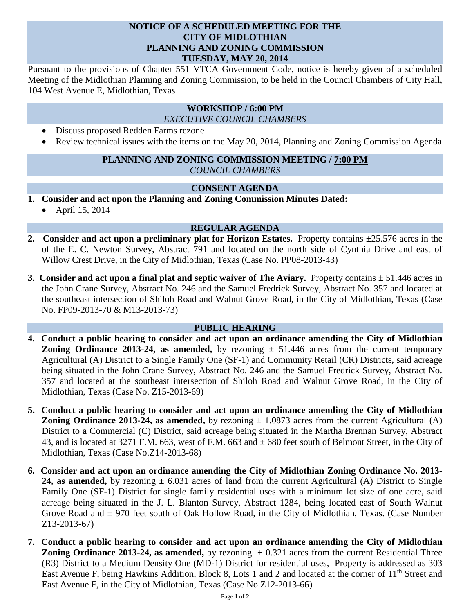### **NOTICE OF A SCHEDULED MEETING FOR THE CITY OF MIDLOTHIAN PLANNING AND ZONING COMMISSION TUESDAY, MAY 20, 2014**

Pursuant to the provisions of Chapter 551 VTCA Government Code, notice is hereby given of a scheduled Meeting of the Midlothian Planning and Zoning Commission, to be held in the Council Chambers of City Hall, 104 West Avenue E, Midlothian, Texas

# **WORKSHOP / 6:00 PM**

*EXECUTIVE COUNCIL CHAMBERS*

- Discuss proposed Redden Farms rezone
- Review technical issues with the items on the May 20, 2014, Planning and Zoning Commission Agenda

## **PLANNING AND ZONING COMMISSION MEETING / 7:00 PM** *COUNCIL CHAMBERS*

#### **CONSENT AGENDA**

- **1. Consider and act upon the Planning and Zoning Commission Minutes Dated:** 
	- April 15, 2014

## **REGULAR AGENDA**

- **2. Consider and act upon a preliminary plat for Horizon Estates.** Property contains ±25.576 acres in the of the E. C. Newton Survey, Abstract 791 and located on the north side of Cynthia Drive and east of Willow Crest Drive, in the City of Midlothian, Texas (Case No. PP08-2013-43)
- **3.** Consider and act upon a final plat and septic waiver of The Aviary. Property contains  $\pm$  51.446 acres in the John Crane Survey, Abstract No. 246 and the Samuel Fredrick Survey, Abstract No. 357 and located at the southeast intersection of Shiloh Road and Walnut Grove Road, in the City of Midlothian, Texas (Case No. FP09-2013-70 & M13-2013-73)

#### **PUBLIC HEARING**

- **4. Conduct a public hearing to consider and act upon an ordinance amending the City of Midlothian Zoning Ordinance 2013-24, as amended,** by rezoning  $\pm$  51.446 acres from the current temporary Agricultural (A) District to a Single Family One (SF-1) and Community Retail (CR) Districts, said acreage being situated in the John Crane Survey, Abstract No. 246 and the Samuel Fredrick Survey, Abstract No. 357 and located at the southeast intersection of Shiloh Road and Walnut Grove Road, in the City of Midlothian, Texas (Case No. Z15-2013-69)
- **5. Conduct a public hearing to consider and act upon an ordinance amending the City of Midlothian Zoning Ordinance 2013-24, as amended,** by rezoning  $\pm$  1.0873 acres from the current Agricultural (A) District to a Commercial (C) District, said acreage being situated in the Martha Brennan Survey, Abstract 43, and is located at 3271 F.M. 663, west of F.M. 663 and ± 680 feet south of Belmont Street, in the City of Midlothian, Texas (Case No.Z14-2013-68)
- **6. Consider and act upon an ordinance amending the City of Midlothian Zoning Ordinance No. 2013- 24, as amended,** by rezoning  $\pm$  6.031 acres of land from the current Agricultural (A) District to Single Family One (SF-1) District for single family residential uses with a minimum lot size of one acre, said acreage being situated in the J. L. Blanton Survey, Abstract 1284, being located east of South Walnut Grove Road and  $\pm$  970 feet south of Oak Hollow Road, in the City of Midlothian, Texas. (Case Number Z13-2013-67)
- **7. Conduct a public hearing to consider and act upon an ordinance amending the City of Midlothian Zoning Ordinance 2013-24, as amended,** by rezoning  $\pm 0.321$  acres from the current Residential Three (R3) District to a Medium Density One (MD-1) District for residential uses, Property is addressed as 303 East Avenue F, being Hawkins Addition, Block 8, Lots 1 and 2 and located at the corner of 11<sup>th</sup> Street and East Avenue F, in the City of Midlothian, Texas (Case No.Z12-2013-66)